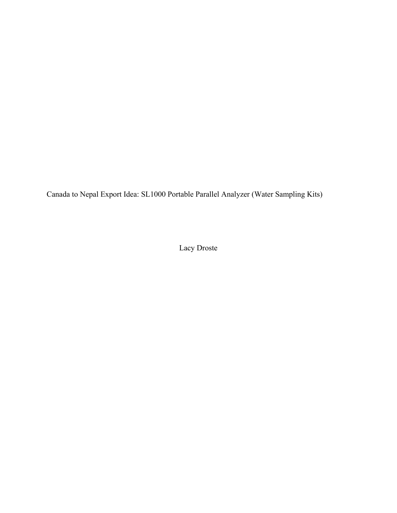Canada to Nepal Export Idea: SL1000 Portable Parallel Analyzer (Water Sampling Kits)

Lacy Droste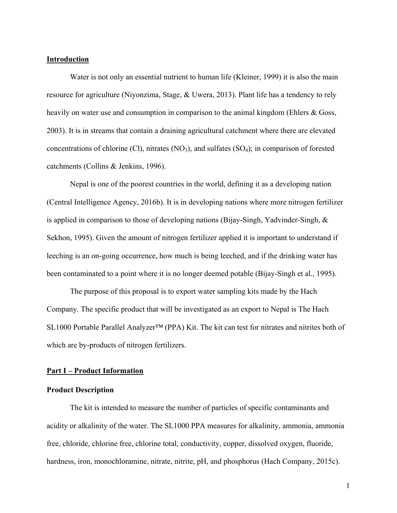### **Introduction**

Water is not only an essential nutrient to human life (Kleiner, 1999) it is also the main resource for agriculture (Niyonzima, Stage, & Uwera, 2013). Plant life has a tendency to rely heavily on water use and consumption in comparison to the animal kingdom (Ehlers & Goss, 2003). It is in streams that contain a draining agricultural catchment where there are elevated concentrations of chlorine (Cl), nitrates  $(NO<sub>3</sub>)$ , and sulfates  $(SO<sub>4</sub>)$ ; in comparison of forested catchments (Collins & Jenkins, 1996).

Nepal is one of the poorest countries in the world, defining it as a developing nation (Central Intelligence Agency, 2016b). It is in developing nations where more nitrogen fertilizer is applied in comparison to those of developing nations (Bijay-Singh, Yadvinder-Singh, & Sekhon, 1995). Given the amount of nitrogen fertilizer applied it is important to understand if leeching is an on-going occurrence, how much is being leeched, and if the drinking water has been contaminated to a point where it is no longer deemed potable (Bijay-Singh et al., 1995).

The purpose of this proposal is to export water sampling kits made by the Hach Company. The specific product that will be investigated as an export to Nepal is The Hach SL1000 Portable Parallel Analyzer™ (PPA) Kit. The kit can test for nitrates and nitrites both of which are by-products of nitrogen fertilizers.

## **Part I – Product Information**

## **Product Description**

The kit is intended to measure the number of particles of specific contaminants and acidity or alkalinity of the water. The SL1000 PPA measures for alkalinity, ammonia, ammonia free, chloride, chlorine free, chlorine total, conductivity, copper, dissolved oxygen, fluoride, hardness, iron, monochloramine, nitrate, nitrite, pH, and phosphorus (Hach Company, 2015c).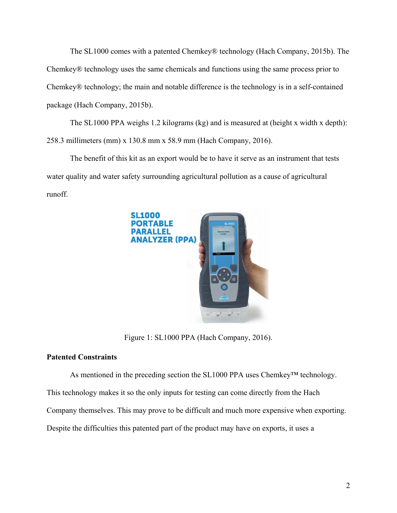The SL1000 comes with a patented Chemkey® technology (Hach Company, 2015b). The Chemkey® technology uses the same chemicals and functions using the same process prior to Chemkey® technology; the main and notable difference is the technology is in a self-contained package (Hach Company, 2015b).

The SL1000 PPA weighs 1.2 kilograms (kg) and is measured at (height x width x depth): 258.3 millimeters (mm) x 130.8 mm x 58.9 mm (Hach Company, 2016).

The benefit of this kit as an export would be to have it serve as an instrument that tests water quality and water safety surrounding agricultural pollution as a cause of agricultural runoff.



Figure 1: SL1000 PPA (Hach Company, 2016).

# **Patented Constraints**

As mentioned in the preceding section the SL1000 PPA uses Chemkey™ technology.

This technology makes it so the only inputs for testing can come directly from the Hach

Company themselves. This may prove to be difficult and much more expensive when exporting.

Despite the difficulties this patented part of the product may have on exports, it uses a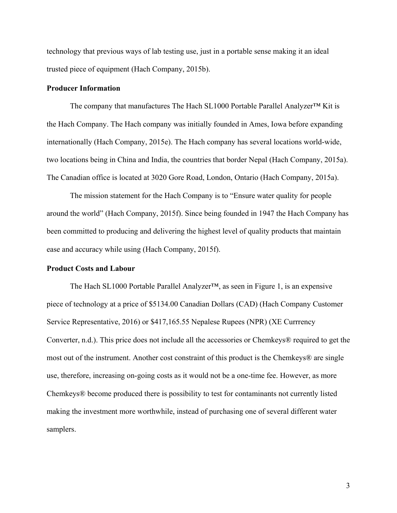technology that previous ways of lab testing use, just in a portable sense making it an ideal trusted piece of equipment (Hach Company, 2015b).

## **Producer Information**

The company that manufactures The Hach SL1000 Portable Parallel Analyzer™ Kit is the Hach Company. The Hach company was initially founded in Ames, Iowa before expanding internationally (Hach Company, 2015e). The Hach company has several locations world-wide, two locations being in China and India, the countries that border Nepal (Hach Company, 2015a). The Canadian office is located at 3020 Gore Road, London, Ontario (Hach Company, 2015a).

The mission statement for the Hach Company is to "Ensure water quality for people around the world" (Hach Company, 2015f). Since being founded in 1947 the Hach Company has been committed to producing and delivering the highest level of quality products that maintain ease and accuracy while using (Hach Company, 2015f).

# **Product Costs and Labour**

The Hach SL1000 Portable Parallel Analyzer™, as seen in Figure 1, is an expensive piece of technology at a price of \$5134.00 Canadian Dollars (CAD) (Hach Company Customer Service Representative, 2016) or \$417,165.55 Nepalese Rupees (NPR) (XE Currrency Converter, n.d.). This price does not include all the accessories or Chemkeys® required to get the most out of the instrument. Another cost constraint of this product is the Chemkeys® are single use, therefore, increasing on-going costs as it would not be a one-time fee. However, as more Chemkeys® become produced there is possibility to test for contaminants not currently listed making the investment more worthwhile, instead of purchasing one of several different water samplers.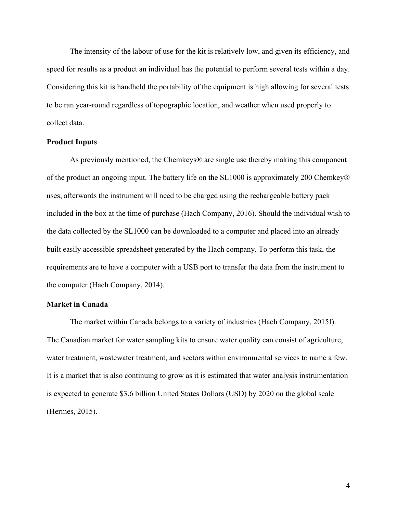The intensity of the labour of use for the kit is relatively low, and given its efficiency, and speed for results as a product an individual has the potential to perform several tests within a day. Considering this kit is handheld the portability of the equipment is high allowing for several tests to be ran year-round regardless of topographic location, and weather when used properly to collect data.

### **Product Inputs**

As previously mentioned, the Chemkeys® are single use thereby making this component of the product an ongoing input. The battery life on the SL1000 is approximately 200 Chemkey® uses, afterwards the instrument will need to be charged using the rechargeable battery pack included in the box at the time of purchase (Hach Company, 2016). Should the individual wish to the data collected by the SL1000 can be downloaded to a computer and placed into an already built easily accessible spreadsheet generated by the Hach company. To perform this task, the requirements are to have a computer with a USB port to transfer the data from the instrument to the computer (Hach Company, 2014).

# **Market in Canada**

The market within Canada belongs to a variety of industries (Hach Company, 2015f). The Canadian market for water sampling kits to ensure water quality can consist of agriculture, water treatment, wastewater treatment, and sectors within environmental services to name a few. It is a market that is also continuing to grow as it is estimated that water analysis instrumentation is expected to generate \$3.6 billion United States Dollars (USD) by 2020 on the global scale (Hermes, 2015).

4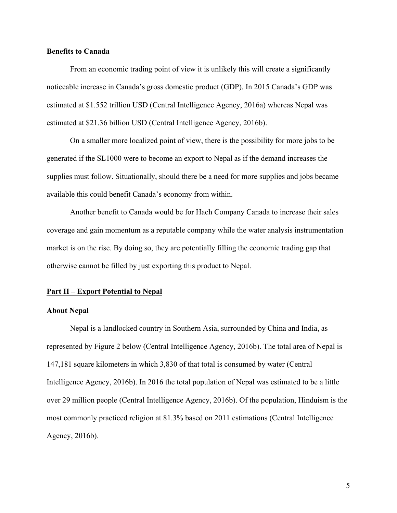## **Benefits to Canada**

From an economic trading point of view it is unlikely this will create a significantly noticeable increase in Canada's gross domestic product (GDP). In 2015 Canada's GDP was estimated at \$1.552 trillion USD (Central Intelligence Agency, 2016a) whereas Nepal was estimated at \$21.36 billion USD (Central Intelligence Agency, 2016b).

On a smaller more localized point of view, there is the possibility for more jobs to be generated if the SL1000 were to become an export to Nepal as if the demand increases the supplies must follow. Situationally, should there be a need for more supplies and jobs became available this could benefit Canada's economy from within.

Another benefit to Canada would be for Hach Company Canada to increase their sales coverage and gain momentum as a reputable company while the water analysis instrumentation market is on the rise. By doing so, they are potentially filling the economic trading gap that otherwise cannot be filled by just exporting this product to Nepal.

## **Part II – Export Potential to Nepal**

#### **About Nepal**

Nepal is a landlocked country in Southern Asia, surrounded by China and India, as represented by Figure 2 below (Central Intelligence Agency, 2016b). The total area of Nepal is 147,181 square kilometers in which 3,830 of that total is consumed by water (Central Intelligence Agency, 2016b). In 2016 the total population of Nepal was estimated to be a little over 29 million people (Central Intelligence Agency, 2016b). Of the population, Hinduism is the most commonly practiced religion at 81.3% based on 2011 estimations (Central Intelligence Agency, 2016b).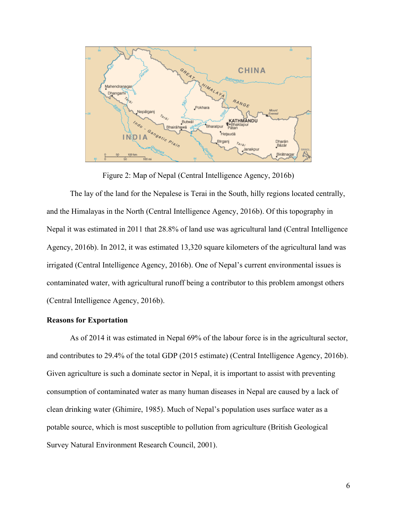

Figure 2: Map of Nepal (Central Intelligence Agency, 2016b)

The lay of the land for the Nepalese is Terai in the South, hilly regions located centrally, and the Himalayas in the North (Central Intelligence Agency, 2016b). Of this topography in Nepal it was estimated in 2011 that 28.8% of land use was agricultural land (Central Intelligence Agency, 2016b). In 2012, it was estimated 13,320 square kilometers of the agricultural land was irrigated (Central Intelligence Agency, 2016b). One of Nepal's current environmental issues is contaminated water, with agricultural runoff being a contributor to this problem amongst others (Central Intelligence Agency, 2016b).

## **Reasons for Exportation**

As of 2014 it was estimated in Nepal 69% of the labour force is in the agricultural sector, and contributes to 29.4% of the total GDP (2015 estimate) (Central Intelligence Agency, 2016b). Given agriculture is such a dominate sector in Nepal, it is important to assist with preventing consumption of contaminated water as many human diseases in Nepal are caused by a lack of clean drinking water (Ghimire, 1985). Much of Nepal's population uses surface water as a potable source, which is most susceptible to pollution from agriculture (British Geological Survey Natural Environment Research Council, 2001).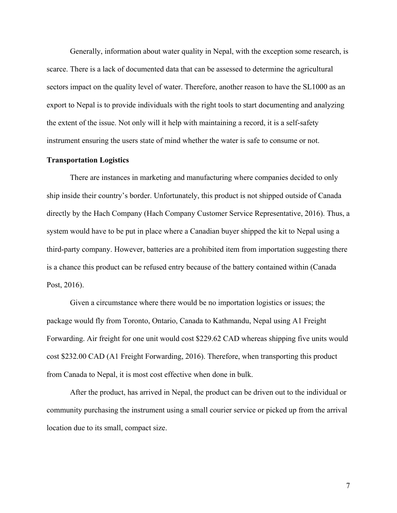Generally, information about water quality in Nepal, with the exception some research, is scarce. There is a lack of documented data that can be assessed to determine the agricultural sectors impact on the quality level of water. Therefore, another reason to have the SL1000 as an export to Nepal is to provide individuals with the right tools to start documenting and analyzing the extent of the issue. Not only will it help with maintaining a record, it is a self-safety instrument ensuring the users state of mind whether the water is safe to consume or not.

### **Transportation Logistics**

There are instances in marketing and manufacturing where companies decided to only ship inside their country's border. Unfortunately, this product is not shipped outside of Canada directly by the Hach Company (Hach Company Customer Service Representative, 2016). Thus, a system would have to be put in place where a Canadian buyer shipped the kit to Nepal using a third-party company. However, batteries are a prohibited item from importation suggesting there is a chance this product can be refused entry because of the battery contained within (Canada Post, 2016).

Given a circumstance where there would be no importation logistics or issues; the package would fly from Toronto, Ontario, Canada to Kathmandu, Nepal using A1 Freight Forwarding. Air freight for one unit would cost \$229.62 CAD whereas shipping five units would cost \$232.00 CAD (A1 Freight Forwarding, 2016). Therefore, when transporting this product from Canada to Nepal, it is most cost effective when done in bulk.

After the product, has arrived in Nepal, the product can be driven out to the individual or community purchasing the instrument using a small courier service or picked up from the arrival location due to its small, compact size.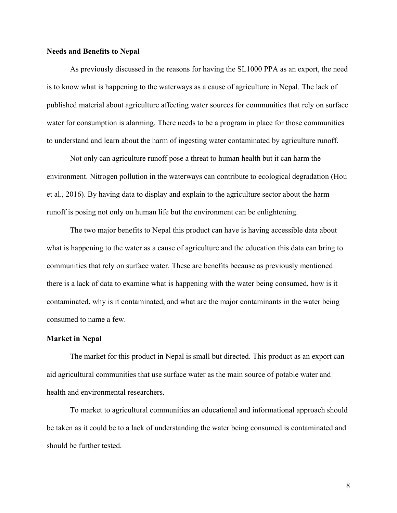## **Needs and Benefits to Nepal**

As previously discussed in the reasons for having the SL1000 PPA as an export, the need is to know what is happening to the waterways as a cause of agriculture in Nepal. The lack of published material about agriculture affecting water sources for communities that rely on surface water for consumption is alarming. There needs to be a program in place for those communities to understand and learn about the harm of ingesting water contaminated by agriculture runoff.

Not only can agriculture runoff pose a threat to human health but it can harm the environment. Nitrogen pollution in the waterways can contribute to ecological degradation (Hou et al., 2016). By having data to display and explain to the agriculture sector about the harm runoff is posing not only on human life but the environment can be enlightening.

The two major benefits to Nepal this product can have is having accessible data about what is happening to the water as a cause of agriculture and the education this data can bring to communities that rely on surface water. These are benefits because as previously mentioned there is a lack of data to examine what is happening with the water being consumed, how is it contaminated, why is it contaminated, and what are the major contaminants in the water being consumed to name a few.

## **Market in Nepal**

The market for this product in Nepal is small but directed. This product as an export can aid agricultural communities that use surface water as the main source of potable water and health and environmental researchers.

To market to agricultural communities an educational and informational approach should be taken as it could be to a lack of understanding the water being consumed is contaminated and should be further tested.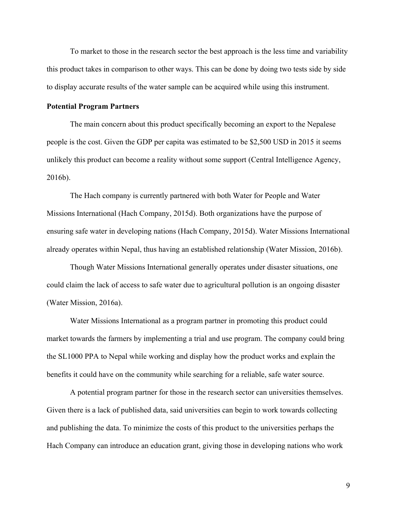To market to those in the research sector the best approach is the less time and variability this product takes in comparison to other ways. This can be done by doing two tests side by side to display accurate results of the water sample can be acquired while using this instrument.

### **Potential Program Partners**

The main concern about this product specifically becoming an export to the Nepalese people is the cost. Given the GDP per capita was estimated to be \$2,500 USD in 2015 it seems unlikely this product can become a reality without some support (Central Intelligence Agency, 2016b).

The Hach company is currently partnered with both Water for People and Water Missions International (Hach Company, 2015d). Both organizations have the purpose of ensuring safe water in developing nations (Hach Company, 2015d). Water Missions International already operates within Nepal, thus having an established relationship (Water Mission, 2016b).

Though Water Missions International generally operates under disaster situations, one could claim the lack of access to safe water due to agricultural pollution is an ongoing disaster (Water Mission, 2016a).

Water Missions International as a program partner in promoting this product could market towards the farmers by implementing a trial and use program. The company could bring the SL1000 PPA to Nepal while working and display how the product works and explain the benefits it could have on the community while searching for a reliable, safe water source.

A potential program partner for those in the research sector can universities themselves. Given there is a lack of published data, said universities can begin to work towards collecting and publishing the data. To minimize the costs of this product to the universities perhaps the Hach Company can introduce an education grant, giving those in developing nations who work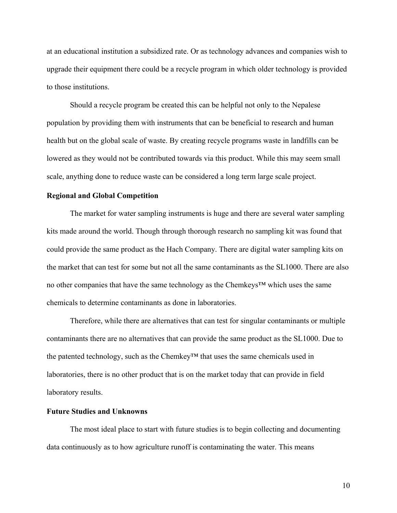at an educational institution a subsidized rate. Or as technology advances and companies wish to upgrade their equipment there could be a recycle program in which older technology is provided to those institutions.

Should a recycle program be created this can be helpful not only to the Nepalese population by providing them with instruments that can be beneficial to research and human health but on the global scale of waste. By creating recycle programs waste in landfills can be lowered as they would not be contributed towards via this product. While this may seem small scale, anything done to reduce waste can be considered a long term large scale project.

### **Regional and Global Competition**

The market for water sampling instruments is huge and there are several water sampling kits made around the world. Though through thorough research no sampling kit was found that could provide the same product as the Hach Company. There are digital water sampling kits on the market that can test for some but not all the same contaminants as the SL1000. There are also no other companies that have the same technology as the Chemkeys™ which uses the same chemicals to determine contaminants as done in laboratories.

Therefore, while there are alternatives that can test for singular contaminants or multiple contaminants there are no alternatives that can provide the same product as the SL1000. Due to the patented technology, such as the Chemkey™ that uses the same chemicals used in laboratories, there is no other product that is on the market today that can provide in field laboratory results.

# **Future Studies and Unknowns**

The most ideal place to start with future studies is to begin collecting and documenting data continuously as to how agriculture runoff is contaminating the water. This means

10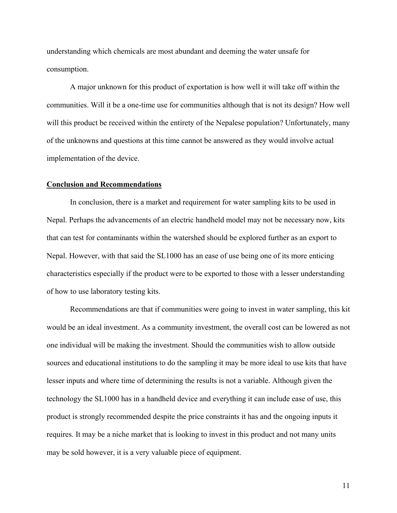understanding which chemicals are most abundant and deeming the water unsafe for consumption.

A major unknown for this product of exportation is how well it will take off within the communities. Will it be a one-time use for communities although that is not its design? How well will this product be received within the entirety of the Nepalese population? Unfortunately, many of the unknowns and questions at this time cannot be answered as they would involve actual implementation of the device.

#### **Conclusion and Recommendations**

In conclusion, there is a market and requirement for water sampling kits to be used in Nepal. Perhaps the advancements of an electric handheld model may not be necessary now, kits that can test for contaminants within the watershed should be explored further as an export to Nepal. However, with that said the SL1000 has an ease of use being one of its more enticing characteristics especially if the product were to be exported to those with a lesser understanding of how to use laboratory testing kits.

Recommendations are that if communities were going to invest in water sampling, this kit would be an ideal investment. As a community investment, the overall cost can be lowered as not one individual will be making the investment. Should the communities wish to allow outside sources and educational institutions to do the sampling it may be more ideal to use kits that have lesser inputs and where time of determining the results is not a variable. Although given the technology the SL1000 has in a handheld device and everything it can include ease of use, this product is strongly recommended despite the price constraints it has and the ongoing inputs it requires. It may be a niche market that is looking to invest in this product and not many units may be sold however, it is a very valuable piece of equipment.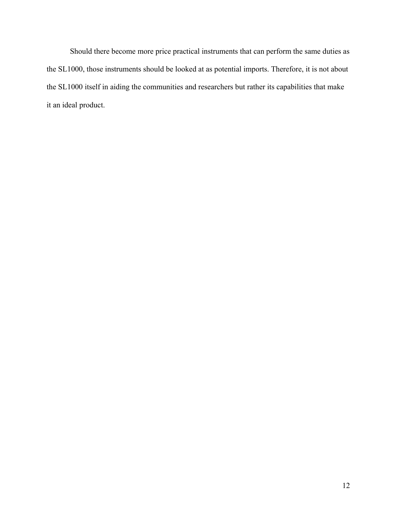Should there become more price practical instruments that can perform the same duties as the SL1000, those instruments should be looked at as potential imports. Therefore, it is not about the SL1000 itself in aiding the communities and researchers but rather its capabilities that make it an ideal product.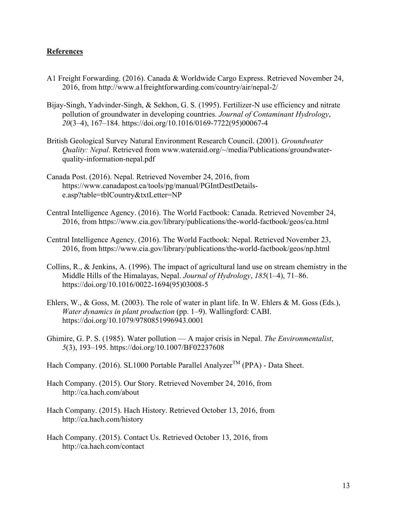# **References**

- A1 Freight Forwarding. (2016). Canada & Worldwide Cargo Express. Retrieved November 24, 2016, from http://www.a1freightforwarding.com/country/air/nepal-2/
- Bijay-Singh, Yadvinder-Singh, & Sekhon, G. S. (1995). Fertilizer-N use efficiency and nitrate pollution of groundwater in developing countries. *Journal of Contaminant Hydrology*, *20*(3–4), 167–184. https://doi.org/10.1016/0169-7722(95)00067-4
- British Geological Survey Natural Environment Research Council. (2001). *Groundwater Quality: Nepal*. Retrieved from www.wateraid.org/~/media/Publications/groundwaterquality-information-nepal.pdf
- Canada Post. (2016). Nepal. Retrieved November 24, 2016, from https://www.canadapost.ca/tools/pg/manual/PGIntDestDetailse.asp?table=tblCountry&txtLetter=NP
- Central Intelligence Agency. (2016). The World Factbook: Canada. Retrieved November 24, 2016, from https://www.cia.gov/library/publications/the-world-factbook/geos/ca.html
- Central Intelligence Agency. (2016). The World Factbook: Nepal. Retrieved November 23, 2016, from https://www.cia.gov/library/publications/the-world-factbook/geos/np.html
- Collins, R., & Jenkins, A. (1996). The impact of agricultural land use on stream chemistry in the Middle Hills of the Himalayas, Nepal. *Journal of Hydrology*, *185*(1–4), 71–86. https://doi.org/10.1016/0022-1694(95)03008-5
- Ehlers, W., & Goss, M. (2003). The role of water in plant life. In W. Ehlers & M. Goss (Eds.), *Water dynamics in plant production* (pp. 1–9). Wallingford: CABI. https://doi.org/10.1079/9780851996943.0001
- Ghimire, G. P. S. (1985). Water pollution A major crisis in Nepal. *The Environmentalist*, *5*(3), 193–195. https://doi.org/10.1007/BF02237608
- Hach Company. (2016). SL1000 Portable Parallel Analyzer<sup>TM</sup> (PPA) Data Sheet.
- Hach Company. (2015). Our Story. Retrieved November 24, 2016, from http://ca.hach.com/about
- Hach Company. (2015). Hach History. Retrieved October 13, 2016, from http://ca.hach.com/history
- Hach Company. (2015). Contact Us. Retrieved October 13, 2016, from http://ca.hach.com/contact